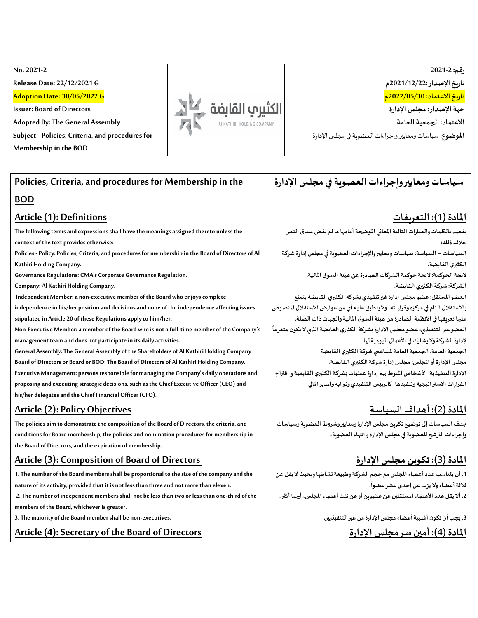**No. 2021 -2 رقم: 2021-2 Release Date: 22/12/2021 G تاريخ اإلصدار2021/12/22:م تاريخ االعتماد: 2022/05/30م Adoption Date: 30/05/2022 G** الكثيري القابضة **Issuer: Board of Directors جهةاإلصدار:مجلس اإلدارة Adopted By: The General Assembly االعتماد: الجمعية العامة** AI KATHIRI HOLDING COMPANY **Subject: Policies, Criteria, and procedures for**  ا**لموضوع:** سياسات ومعايير وإجراءات العضوية في مجلس الإدارة

**Membership in the BOD**

| Policies, Criteria, and procedures for Membership in the                                             | سياسات ومعايير وإجراءات العضوية في مجلس الإدارة                                   |
|------------------------------------------------------------------------------------------------------|-----------------------------------------------------------------------------------|
| <b>BOD</b>                                                                                           |                                                                                   |
| Article (1): Definitions                                                                             | <u> المادة (1): التعريفات</u>                                                     |
| The following terms and expressions shall have the meanings assigned thereto unless the              | يقصد بالكلمات والعبارات التالية المعاني الموضحة أمامها ما لم يقض سياق النص        |
| context of the text provides otherwise:                                                              | خلاف ذلك:                                                                         |
| Policies - Policy: Policies, Criteria, and procedures for membership in the Board of Directors of Al | السياسات – السياسة: سياسات ومعايير والإجراءات العضوية في مجلس إدارة شركة          |
| Kathiri Holding Company.                                                                             | الكثيري القابضة.                                                                  |
| Governance Regulations: CMA's Corporate Governance Regulation.                                       | لائحة الحوكمة: لائحة حوكمة الشركات الصادرة عن هيئة السوق المالية.                 |
| Company: Al Kathiri Holding Company.                                                                 | الشركة: شركة الكثيري القابضة.                                                     |
| Independent Member: a non-executive member of the Board who enjoys complete                          | العضو المستقل: عضو مجلس إدارة غير تنفيذي بشركة الكثيري القابضة يتمتع              |
| independence in his/her position and decisions and none of the independence affecting issues         | بالاستقلال التام في مركزه وقرار اته، ولا ينطبق عليه أي من عوارض الاستقلال المنصوص |
| stipulated in Article 20 of these Regulations apply to him/her.                                      | عليها تعريفها في الأنظمة الصادرة من هيئة السوق المالية والجهات ذات الصلة.         |
| Non-Executive Member: a member of the Board who is not a full-time member of the Company's           | العضو غير التنفيذي: عضو مجلس الإدارة بشركة الكثيرى القابضة الذي لا يكون متفرغاً   |
| management team and does not participate in its daily activities.                                    | لإدارة الشركة ولا يشارك في الأعمال اليومية لها                                    |
| General Assembly: The General Assembly of the Shareholders of Al Kathiri Holding Company             | الجمعية العامة: الجمعية العامة لمساهمي شركة الكثيري القابضة                       |
| Board of Directors or Board or BOD: The Board of Directors of Al Kathiri Holding Company.            | مجلس الإدارة أو المجلس: مجلس إدارة شركة الكثيري القابضة.                          |
| Executive Management: persons responsible for managing the Company's daily operations and            | الإدارة التنفيذية: الأشخاص المنوط بهم إدارة عمليات بشركة الكثيرى القابضة و اقتراح |
| proposing and executing strategic decisions, such as the Chief Executive Officer (CEO) and           | القرارات الاستر اتيجية وتنفيذها، كالرئيس التنفيذي ونو ابه والمدير المالي          |
| his/her delegates and the Chief Financial Officer (CFO).                                             |                                                                                   |
| <b>Article (2): Policy Objectives</b>                                                                | المادة (2): أهداف السياسة                                                         |
| The policies aim to demonstrate the composition of the Board of Directors, the criteria, and         | تهدف السياسات إلى توضيح تكوىن مجلس الإدارة ومعايير وشروط العضوبة وسياسات          |
| conditions for Board membership, the policies and nomination procedures for membership in            | واجراءات الترشح للعضوية في مجلس الإدارة و انتهاء العضوية.                         |
| the Board of Directors, and the expiration of membership.                                            |                                                                                   |
| Article (3): Composition of Board of Directors                                                       | المادة (3): تكوىن مجلس الإدارة                                                    |
| 1. The number of the Board members shall be proportional to the size of the company and the          | 1. أن يتناسب عدد أعضاء المجلس مع حجم الشركة وطبيعة نشاطها وبحيث لا يقل عن         |
| nature of its activity, provided that it is not less than three and not more than eleven.            | ثلاثة أعضاء ولا يزبد عن إحدى عشر عضواً.                                           |
| 2. The number of independent members shall not be less than two or less than one-third of the        | 2. ألا يقل عدد الأعضاء المستقلين عن عضوين أو عن ثلث أعضاء المجلس، أيهما أكثر.     |
| members of the Board, whichever is greater.                                                          |                                                                                   |
| 3. The majority of the Board member shall be non-executives.                                         | 3. يجب أن تكون أغلبية أعضاء مجلس الإدارة من غير التنفيذيين                        |
| Article (4): Secretary of the Board of Directors                                                     | <u>المادة (4): أمين سر مجلس الإدارة</u>                                           |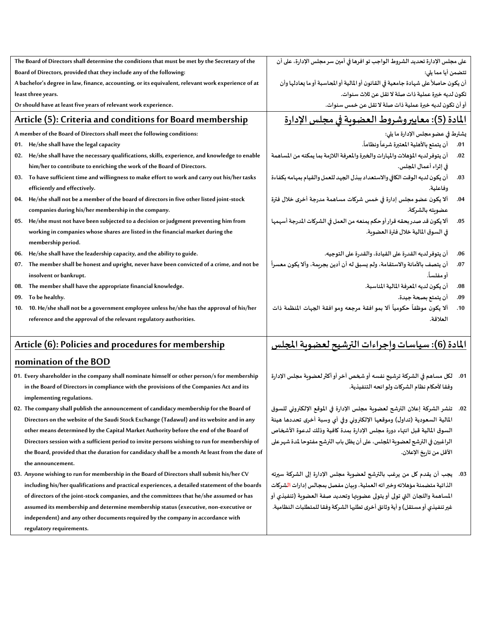|                                                                                                                                                                                                                                                                                                                                                | The Board of Directors shall determine the conditions that must be met by the Secretary of the                        | على مجلس الإدارة تحديد الشروط الواجب تو افرها في أمين سر مجلس الإدارة، على أن                                                                                                                                                                                                        |     |  |                                                                                                 |                                                                                 |     |
|------------------------------------------------------------------------------------------------------------------------------------------------------------------------------------------------------------------------------------------------------------------------------------------------------------------------------------------------|-----------------------------------------------------------------------------------------------------------------------|--------------------------------------------------------------------------------------------------------------------------------------------------------------------------------------------------------------------------------------------------------------------------------------|-----|--|-------------------------------------------------------------------------------------------------|---------------------------------------------------------------------------------|-----|
| Board of Directors, provided that they include any of the following:<br>A bachelor's degree in law, finance, accounting, or its equivalent, relevant work experience of at<br>least three years.<br>Or should have at least five years of relevant work experience.<br><u><b>Article (5): Criteria and conditions for Board membership</b></u> |                                                                                                                       | تتضمن أيا مما يلى:<br>أن يكون حاصلاً على شهادة جامعية في القانون أو المالية أو المحاسبة أو ما يعادلها وأن<br>تكون لديه خبرة عملية ذات صلة لا تقل عن ثلاث سنوات.<br>أو أن تكون لديه خبرة عملية ذات صلة لا تقل عن خمس سنوات.<br><u>المادة (5): معاييروشروط العضوية في مجلس الإدارة</u> |     |  |                                                                                                 |                                                                                 |     |
|                                                                                                                                                                                                                                                                                                                                                |                                                                                                                       |                                                                                                                                                                                                                                                                                      |     |  | A member of the Board of Directors shall meet the following conditions:                         | يشترط في عضو مجلس الإدارة ما يلي:                                               |     |
|                                                                                                                                                                                                                                                                                                                                                |                                                                                                                       |                                                                                                                                                                                                                                                                                      |     |  | 01. He/she shall have the legal capacity                                                        | أن يتمتع بالأهلية المعتبرة شرعاً ونظاماً.                                       | .01 |
|                                                                                                                                                                                                                                                                                                                                                |                                                                                                                       |                                                                                                                                                                                                                                                                                      |     |  | 02. He/she shall have the necessary qualifications, skills, experience, and knowledge to enable | أن يتوفر لديه المؤهلات والمهارات والخبرة والمعرفة اللازمة بما يمكنه من المساهمة | .02 |
|                                                                                                                                                                                                                                                                                                                                                |                                                                                                                       |                                                                                                                                                                                                                                                                                      |     |  | him/her to contribute to enriching the work of the Board of Directors.                          | في إثراء أعمال المجلس.                                                          |     |
|                                                                                                                                                                                                                                                                                                                                                | 03. To have sufficient time and willingness to make effort to work and carry out his/her tasks                        | أن يكون لديه الوقت الكافي والاستعداد ببذل الجهد للعمل والقيام بمهامه بكفاءة                                                                                                                                                                                                          | .03 |  |                                                                                                 |                                                                                 |     |
|                                                                                                                                                                                                                                                                                                                                                | efficiently and effectively.                                                                                          | وفاعلية.                                                                                                                                                                                                                                                                             |     |  |                                                                                                 |                                                                                 |     |
| 04.                                                                                                                                                                                                                                                                                                                                            | He/she shall not be a member of the board of directors in five other listed joint-stock                               | ألا يكون عضو مجلس إدارة في خمس شركات مساهمة مدرجة أخرى خلال فترة                                                                                                                                                                                                                     | .04 |  |                                                                                                 |                                                                                 |     |
|                                                                                                                                                                                                                                                                                                                                                | companies during his/her membership in the company.                                                                   | عضوىته بالشركة.                                                                                                                                                                                                                                                                      |     |  |                                                                                                 |                                                                                 |     |
|                                                                                                                                                                                                                                                                                                                                                | 05. He/she must not have been subjected to a decision or judgment preventing him from                                 | ألا يكون قد صدر بحقه قرار أو حكم يمنعه من العمل في الشركات المدرجة أسهمها                                                                                                                                                                                                            | .05 |  |                                                                                                 |                                                                                 |     |
|                                                                                                                                                                                                                                                                                                                                                | working in companies whose shares are listed in the financial market during the<br>membership period.                 | في السوق المالية خلال فترة العضوبة.                                                                                                                                                                                                                                                  |     |  |                                                                                                 |                                                                                 |     |
|                                                                                                                                                                                                                                                                                                                                                | 06. He/she shall have the leadership capacity, and the ability to guide.                                              | أن يتوفر لديه القدرة على القيادة، والقدرة على التوجيه.                                                                                                                                                                                                                               | .06 |  |                                                                                                 |                                                                                 |     |
| 07.                                                                                                                                                                                                                                                                                                                                            | The member shall be honest and upright, never have been convicted of a crime, and not be<br>insolvent or bankrupt.    | أن يتصف بالأمانة والاستقامة، ولم يسبق له أن أدين بجرىمة، وألا يكون معسراً<br>أو مفلساً.                                                                                                                                                                                              | .07 |  |                                                                                                 |                                                                                 |     |
| 08.                                                                                                                                                                                                                                                                                                                                            | The member shall have the appropriate financial knowledge.                                                            | أن يكون لديه المعرفة المالية المناسبة.                                                                                                                                                                                                                                               | .08 |  |                                                                                                 |                                                                                 |     |
| 09.                                                                                                                                                                                                                                                                                                                                            | To be healthy.                                                                                                        | أن يتمتع بصحة جيدة.                                                                                                                                                                                                                                                                  | .09 |  |                                                                                                 |                                                                                 |     |
| 10.                                                                                                                                                                                                                                                                                                                                            | 10. He/she shall not be a government employee unless he/she has the approval of his/her                               | ألا يكون موظفاً حكومياً ألا بمو افقة مرجعه ومو افقة الجهات المنظمة ذات                                                                                                                                                                                                               | .10 |  |                                                                                                 |                                                                                 |     |
|                                                                                                                                                                                                                                                                                                                                                | reference and the approval of the relevant regulatory authorities.                                                    | العلاقة.                                                                                                                                                                                                                                                                             |     |  |                                                                                                 |                                                                                 |     |
|                                                                                                                                                                                                                                                                                                                                                | Article (6): Policies and procedures for membership                                                                   | <u>المادة (6): سياسات واجراءات الترشيح لعضوية المجلس</u>                                                                                                                                                                                                                             |     |  |                                                                                                 |                                                                                 |     |
|                                                                                                                                                                                                                                                                                                                                                | nomination of the BOD                                                                                                 |                                                                                                                                                                                                                                                                                      |     |  |                                                                                                 |                                                                                 |     |
|                                                                                                                                                                                                                                                                                                                                                | 01. Every shareholder in the company shall nominate himself or other person/s for membership                          | 01.    لكل مساهم في الشركة ترشيح نفسه أو شخص آخر أو أكثر لعضوبة مجلس الإدارة                                                                                                                                                                                                         |     |  |                                                                                                 |                                                                                 |     |
|                                                                                                                                                                                                                                                                                                                                                | in the Board of Directors in compliance with the provisions of the Companies Act and its<br>implementing regulations. | وفقا لأحكام نظام الشركات ولو ائحه التنفيذية.                                                                                                                                                                                                                                         |     |  |                                                                                                 |                                                                                 |     |
|                                                                                                                                                                                                                                                                                                                                                | 02. The company shall publish the announcement of candidacy membership for the Board of                               | 02.   تنشر الشركة إعلان الترشح لعضوية مجلس الإدارة في الموقع الإلكتروني للسوق                                                                                                                                                                                                        |     |  |                                                                                                 |                                                                                 |     |
|                                                                                                                                                                                                                                                                                                                                                | Directors on the website of the Saudi Stock Exchange (Tadawul) and its website and in any                             | المالية السعودية (تداول) وموقعها الإلكتروني وفي أي وسبة أخرى تحددها هيئة                                                                                                                                                                                                             |     |  |                                                                                                 |                                                                                 |     |
|                                                                                                                                                                                                                                                                                                                                                | other means determined by the Capital Market Authority before the end of the Board of                                 | السوق المالية قبل انتهاء دورة مجلس الإدارة بمدة كافية وذلك لدعوة الأشخاص                                                                                                                                                                                                             |     |  |                                                                                                 |                                                                                 |     |
|                                                                                                                                                                                                                                                                                                                                                | Directors session with a sufficient period to invite persons wishing to run for membership of                         | الراغبين في الترشح لعضوية المجلس، على أن يظل باب الترشح مفتوحا لمدة شهر على                                                                                                                                                                                                          |     |  |                                                                                                 |                                                                                 |     |
|                                                                                                                                                                                                                                                                                                                                                | the Board, provided that the duration for candidacy shall be a month At least from the date of                        | الأقل من تارىخ الإعلان.                                                                                                                                                                                                                                                              |     |  |                                                                                                 |                                                                                 |     |
|                                                                                                                                                                                                                                                                                                                                                | the announcement.                                                                                                     |                                                                                                                                                                                                                                                                                      |     |  |                                                                                                 |                                                                                 |     |
|                                                                                                                                                                                                                                                                                                                                                | 03. Anyone wishing to run for membership in the Board of Directors shall submit his/her CV                            | 03. يجب أن يقدم كل من يرغب بالترشح لعضوية مجلس الإدارة إلى الشركة سيرته                                                                                                                                                                                                              |     |  |                                                                                                 |                                                                                 |     |
|                                                                                                                                                                                                                                                                                                                                                | including his/her qualifications and practical experiences, a detailed statement of the boards                        | الذاتية متضمنة مؤهلاته وخبر اته العملية، وبيان مفصل بمجالس إدارات الشركات                                                                                                                                                                                                            |     |  |                                                                                                 |                                                                                 |     |
|                                                                                                                                                                                                                                                                                                                                                | of directors of the joint-stock companies, and the committees that he/she assumed or has                              | المساهمة واللجان التي تولى أو يتولى عضويتها وتحديد صفة العضوية (تنفيذي أو                                                                                                                                                                                                            |     |  |                                                                                                 |                                                                                 |     |
|                                                                                                                                                                                                                                                                                                                                                | assumed its membership and determine membership status (executive, non-executive or                                   | غير تنفيذي أو مستقل) و أية وثائق أخرى تطلبها الشركة وفقا للمتطلبات النظامية.                                                                                                                                                                                                         |     |  |                                                                                                 |                                                                                 |     |
|                                                                                                                                                                                                                                                                                                                                                | independent) and any other documents required by the company in accordance with                                       |                                                                                                                                                                                                                                                                                      |     |  |                                                                                                 |                                                                                 |     |
|                                                                                                                                                                                                                                                                                                                                                | regulatory requirements.                                                                                              |                                                                                                                                                                                                                                                                                      |     |  |                                                                                                 |                                                                                 |     |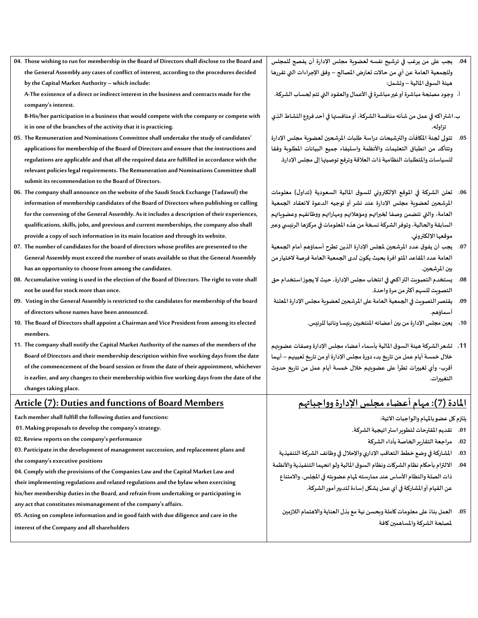**04. Those wishing to run for membership in the Board of Directors shall disclose to the Board and the General Assembly any cases of conflict of interest, according to the procedures decided by the Capital Market Authority – which include:**

**A-The existence of a direct or indirect interest in the business and contracts made for the company's interest.**

**B-His/her participation in a business that would compete with the company or compete with it in one of the branches of the activity that it is practicing.**

- **05. The Remuneration and Nominations Committee shall undertake the study of candidates' applications for membership of the Board of Directors and ensure that the instructions and regulations are applicable and that all the required data are fulfilled in accordance with the relevant policies legal requirements. The Remuneration and Nominations Committee shall submit its recommendation to the Board of Directors.**
- **06. The company shall announce on the website of the Saudi Stock Exchange (Tadawul) the information of membership candidates of the Board of Directors when publishing or calling for the convening of the General Assembly. As it includes a description of their experiences, qualifications, skills, jobs, and previous and current memberships, the company also shall provide a copy of such information in its main location and through its website.**
- **07. The number of candidates for the board of directors whose profiles are presented to the General Assembly must exceed the number of seats available so that the General Assembly has an opportunity to choose from among the candidates.**
- **08. Accumulative voting is used in the election of the Board of Directors. The right to vote shall not be used for stock more than once.**
- **09. Voting in the General Assembly is restricted to the candidates for membership of the board of directors whose names have been announced.**
- **10. The Board of Directors shall appoint a Chairman and Vice President from among its elected members.**
- **11. The company shall notify the Capital Market Authority of the names of the members of the Board of Directors and their membership description within five working days from the date of the commencement of the board session or from the date of their appointment, whichever is earlier, and any changes to their membership within five working days from the date of the changes taking place.**

#### **Article (7): Duties and functions of Board Members**

**Each member shall fulfill the following duties and functions:**

- **01. Making proposals to develop the company's strategy.**
- **02. Review reports on the company's performance**
- **03. Participate in the development of management succession, and replacement plans and**
- **the company's executive positions**
- **04. Comply with the provisions of the Companies Law and the Capital Market Law and**
- **their implementing regulations and related regulations and the bylaw when exercising**

**his/her membership duties in the Board, and refrain from undertaking or participating in any act that constitutes mismanagement of the company's affairs.**

**05. Acting on complete information and in good faith with due diligence and care in the** 

**interest of the Company and all shareholders**

- **.04 يجب على من يرغب في ترشيح نفسه لعضوية مجلس اإلدارة أن يفصح للمجلس وللجمعية العامة عن أي من حاالت تعارض املصالح – وفق اإلجراءات التي تقررها هيئةالسوق املالية – وتشمل:**
- **أ. وجود مصلحة مباشرة أو غير مباشرة في األعمال والعقودالتي تتم لحساب الشركة.**

**ب.اشتراكهفي عمل من شأنهمنافسةالشركة، أومنافستها فيأحد فروع النشاطالذي تزاوله.** 

- **.05 تتولى لجنة املكافآت والترشيحات دراسة طلبات املرشحين لعضوية مجلس اإلدارة وتتأكد من انطباق التعليمات واألنظمة واستيفاء جميع البيانات املطلوبة وفقا للسياسات واملتطلبات النظامية ذات العالقة وترفع توصيتها إلىمجلس اإلدارة.**
- **.06 تعلن الشركة في املوقع اإللكتروني للسوق املالية السعودية )تداول( معلومات املرشحين لعضوية مجلس اإلدارة عند نشر أو توجيه الدعوة النعقاد الجمعية العامة، والتي تتضمن وصفا لخبراتهم ومؤهالتهم ومهاراتهم ووظائفهم وعضوياتهم السابقة والحالية، وتوفر الشركة نسخة من هذه املعلومات في مركزها الرئيس ي وعبر موقعها اإللكتروني.**
- **.07 ي جب أن يفوق عدد املرشحين ملجلس اإلدارة الذين تطرح أسماؤهم أمام الجمعية العامة عدد املقاعد املتو افرة بحيث يكون لدى الجمعيةالعامةفرصة الختيارمن بين املرشحين.**
- **.08 يستخدم التصويتالتراكمي فيانتخاب مجلس اإلدارة، حيثاليجوزاستخدام حق التصويت للسهم أكثر من مرة واحدة.**
- 09. يقتصر التصويت في الجمعية العامة على المرشحين لعضوية مجلس الإدارة المعلنة **أسماؤهم.** 
	- **.10 يعين مجلس اإلدارةمن بين أعضائهاملنتخبين رئيساونائبا للرئيس.**
- **.11 تشعرالشركة هيئةالسوق املاليةبأسماء أعضاء مجلس اإلدارةوصفات عضويتهم خالل خمسةأيام عمل من تاريخ بدءدورةمجلس اإلدارةأومن تاريخ تعيينهم – أيهما أقرب- وأي تغييرات تطرأ على عضويتهم خالل خمسة أيام عمل من تاريخ حدوث التغييرات.**

#### **املادة )7(:مهام أعضاءمجلس اإلدارةوواجباتهم**

**يلتزم كل عضو بامل هام والواجبات اآلتية:** 

- **.01 تقديم املقترحات لتطوير استراتيجية الشركة.**
	- **.02 مراجعةالتقاريرالخاصةبأداء الشركة**
- **.03 املشاركةفيوضع خطط التعاقباإلداري واإلحالل فيوظائف الشركةالتنفيذية**
- 04. الالتزام بأحكام نظام الشركات ونظام السوق المالية ولو ائحهما التنفيذية والأنظمة **ذات الصلةوالنظام األساسعند ممارستهملهام عضويتهفياملجلس،واالمتناع عن القيام أواملشاركةفيأي عمل يشكل إساءة لتدبيرأمورالشركة.**
	- **.05 ا علىمعلوماتكاملةوبحسن نيةمع بذل العنايةواالهتمام الالزمين لعمل بناء ملصلحة الشركة واملساهمين كافة**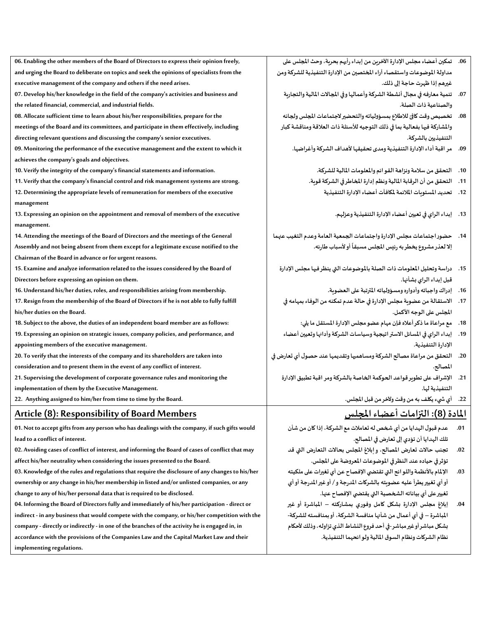| 06. Enabling the other members of the Board of Directors to express their opinion freely,   |
|---------------------------------------------------------------------------------------------|
| and urging the Board to deliberate on topics and seek the opinions of specialists from the  |
| executive management of the company and others if the need arises.                          |
| 07. Develop his/her knowledge in the field of the company's activities and business and     |
| the related financial, commercial, and industrial fields.                                   |
| 08. Allocate sufficient time to learn about his/her responsibilities, prepare for the       |
| meetings of the Board and its committees, and participate in them effectively, including    |
| directing relevant questions and discussing the company's senior executives.                |
| 09. Monitoring the performance of the executive management and the extent to which it       |
| achieves the company's goals and objectives.                                                |
| 10. Verify the integrity of the company's financial statements and information.             |
| 11. Verify that the company's financial control and risk management systems are strong.     |
| 12. Determining the appropriate levels of remuneration for members of the executive         |
| management                                                                                  |
| 13. Expressing an opinion on the appointment and removal of members of the executive        |
| management.                                                                                 |
| 14. Attending the meetings of the Board of Directors and the meetings of the General        |
| Assembly and not being absent from them except for a legitimate excuse notified to the      |
| Chairman of the Board in advance or for urgent reasons.                                     |
| 15. Examine and analyze information related to the issues considered by the Board of        |
| Directors before expressing an opinion on them.                                             |
| 16. Understand his/her duties, roles, and responsibilities arising from membership.         |
| 17. Resign from the membership of the Board of Directors if he is not able to fully fulfill |
| his/her duties on the Board.                                                                |
| 18. Subject to the above, the duties of an independent board member are as follows:         |
| 19. Expressing an opinion on strategic issues, company policies, and performance, and       |
| appointing members of the executive management.                                             |
| 20. To verify that the interests of the company and its shareholders are taken into         |

**consideration and to present them in the event of any conflict of interest.**

**21. Supervising the development of corporate governance rules and monitoring the implementation of them by the Executive Management.**

**22. Anything assigned to him/her from time to time by the Board.**

### **Article (8): Responsibility of Board Members**

**01. Not to accept gifts from any person who has dealings with the company, if such gifts would lead to a conflict of interest.**

**02. Avoiding cases of conflict of interest, and informing the Board of cases of conflict that may** 

**affect his/her neutrality when considering the issues presented to the Board.**

**03. Knowledge of the rules and regulations that require the disclosure of any changes to his/her ownership or any change in his/her membership in listed and/or unlisted companies, or any change to any of his/her personal data that is required to be disclosed.**

**04. Informing the Board of Directors fully and immediately of his/her participation - direct or indirect - in any business that would compete with the company, or his/her competition with the company - directly or indirectly - in one of the branches of the activity he is engaged in, in accordance with the provisions of the Companies Law and the Capital Market Law and their implementing regulations.**

- **.06 تمكين أعضاءمجلس اإلدارةاآلخرين من إبداءرأيهم بحرية،وحثاملجلس على مداولةاملوضوعاتواستقصاء آراء املختصين من اإلدارةالتنفيذيةللشركةومن غيرهم إذا ظهرت حاجة إلى ذلك.**
	- 07. تنمية معارفه في مجال أنشطة الشركة وأعمالها وفي المجالات المالية والتجارية **والصناعية ذات الصلة.**
- **.08 تخصيصوقتكافئلالطالع بمسؤولياتهوالتحضيرالجتماعات املجلس ولجانه واملشاركة فيها بفعالية بما في ذلك التوجيه لألسئلة ذات العالقة ومناقشة كبار التنفيذيين بالشركة.**
	- **.09 مر اقبةأداءاإلدارةالتنفيذيةومدى تحقيقها ألهداف الشركة وأغراضها.**
		- **.10 التحقق من سالمة ونزاهة القوائم واملعلومات املالية للشركة.**
		- 11. التحقق من أن الرقابة المالية ونظم إدارة المخاطر في الشركة قوية.
			- 12. تحديد الم*س*تويات الملائمة لمكافآت أعضاء الإدارة التنفيذية
				- **.13 إبداء الراي فيتعيين أعضاء اإلدارة التنفيذية وعزلهم.**
- 14. حضور اجتماعات مجلس الإدارة واجتماعات الجمعية العامة وعدم التغيب عنهما إلا لعذر مشروع يخطر به رئيس المجلس مسبقاً أو لأسباب طارئه. 
	- **.15 دراسةوتحليل املعلومات ذات الصلةباملوضوعات التي ينظرفيهامجلس اإلدارة قبل إبداء الراي بشأنها.**
		- 16. إدراك واجباته وأدواره ومسؤولياته المترتبة على العضوية.
		- **.17 االستقالةمن عضويةمجلس اإلدارة في حالة عدم تمكنهمن الوفاء بمهامهفي املجلس على الوجه األكمل.**
			- **.18 مع مراعاة ماذكرأعالهفإن مهام عضومجلس اإلدارةاملستقل ما يلي:**
	- **.19 إبداء الراي في املسائل االستراتيجية وسياسات الشركة وأدائهاوتعيين أعضاء اإلدارةالتنفيذية.**
- **.20 التحقق من مراعاةمصالحالشركةومساهميهاوتقديمها عند حصول أي تعارض في املصالح.**
	- **.21 اإلشراف علىتطويرقواعد الحوكمةالخاصةبالشركةومر اقبةتطبيق اإلدارة التنفيذية لها.**
		- **.22 أي ش يء يكلف به من وقت وآلخر من قبل املجلس.**

# **املادة )8(: التزامات أعضاء املجلس**

- **.01 عدم قبول الهدايامن أيشخصلهتعامالتمع الشركة،إذاكان من شأن تلكالهدايا أن تؤدي إلىتعارض فياملصالح.**
- **.02 تجنب حاالت تعارض املصالح، وإبالغ املجلس بحاالت التعارض التي قد تؤثرفي حياده عند النظرفياملوضوعات املعروضة علىاملجلس.**
- **.03 اإلملام باألنظمة واللوائح التي تقتض ي اإلفصاح عن أي تغيرات على ملكيته**  أو أي تغيير يطرأ عليه عضويته بالشركات المدرجة و / أو غير المدرجة أو أي **تغيير على أي بياناته الشخصية التي يقتض ي اإل فصاح عنها.**
- **.04 إبالغ مجلس اإلدارة بشكل كامل وفوري بمشاركته املباشرة أو غير املباشرة – في أي أعمال من شأنها منافسة الشركة، أو بمنافسته للشركة- بشكل مباشر أو غير مباشر-فيأحد فروع النشاطالذيتزاوله،وذلكألحكام نظام الشركاتونظام السوق املاليةولوائحهما التنفيذية.**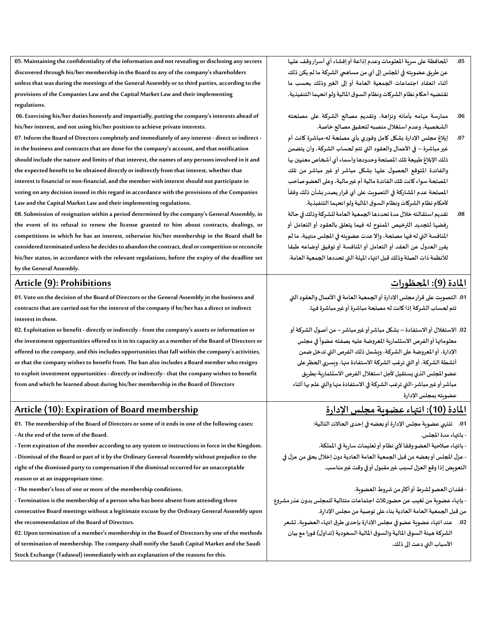**05. Maintaining the confidentiality of the information and not revealing or disclosing any secrets discovered through his/her membership in the Board to any of the company's shareholders unless that was during the meetings of the General Assembly or to third parties, according to the provisions of the Companies Law and the Capital Market Law and their implementing regulations.**

**06. Exercising his/her duties honestly and impartially, putting the company's interests ahead of his/her interest, and not using his/her position to achieve private interests.**

**07. Inform the Board of Directors completely and immediately of any interest - direct or indirect in the business and contracts that are done for the company's account, and that notification should include the nature and limits of that interest, the names of any persons involved in it and the expected benefit to be obtained directly or indirectly from that interest, whether that interest is financial or non-financial, and the member with interest should not participate in voting on any decision issued in this regard in accordance with the provisions of the Companies Law and the Capital Market Law and their implementing regulations.**

**08. Submission of resignation within a period determined by the company's General Assembly, in the event of its refusal to renew the license granted to him about contracts, dealings, or competitions in which he has an interest, otherwise his/her membership in the Board shall be considered terminated unless he decides to abandon the contract, deal or competition or reconcile his/her status, in accordance with the relevant regulations, before the expiry of the deadline set by the General Assembly.**

#### **Article (9): Prohibitions**

**01. Vote on the decision of the Board of Directors or the General Assembly in the business and contracts that are carried out for the interest of the company if he/her has a direct or indirect interest in them.**

**02. Exploitation or benefit - directly or indirectly - from the company's assets or information or the investment opportunities offered to it in its capacity as a member of the Board of Directors or offered to the company, and this includes opportunities that fall within the company's activities, or that the company wishes to benefit from. The ban also includesa Board member who resigns to exploit investment opportunities - directly or indirectly - that the company wishes to benefit from and which he learned about during his/her membership in the Board of Directors**

### **Article (10): Expiration of Board membership**

**01. The membership of the Board of Directors or some of it ends in one of the following cases: - At the end of the term of the Board.**

**- Term expiration of the member according to any system or instructions in force in the Kingdom. - Dismissal of the Board or part of it by the Ordinary General Assembly without prejudice to the right of the dismissed party to compensation if the dismissal occurred for an unacceptable reason or at an inappropriate time.**

**- The member's loss of one or more of the membership conditions.**

**- Termination is the membership of a person who has been absent from attending three consecutive Board meetings without a legitimate excuse by the Ordinary General Assembly upon the recommendation of the Board of Directors.**

**02. Upon termination of a member's membership in the Board of Directors by one of the methods of termination of membership. The company shall notify the Saudi Capital Market and the Saudi Stock Exchange (Tadawul) immediately with an explanation of the reasons for this.**

- **.05 املحافظة على سرية املعلومات وعدم إذاعة أو إفشاء أي أسرار وقف عليها عن طريق عضويته في املجلس إلى أي من مساهمي الشركة ما لم يكن ذلك أثناء انعقاد اجتماعات الجمعية العامة أو إلى الغير وذلك بحسب ما تقتضيهأحكام نظام الشركاتونظام السوق املاليةولوائحهما التنفيذية.**
- **.06 ممارسة مهامه بأمانه ونزاهة، وتقديم مصالح الشركة على مصلحته الشخصية، وعدم استغالل منصبه لتحقيق مصالح خاصة.**
- **.07 إبالغ مجلس اإلدارة بشكل كامل وفوري بأي مصلحة له- مباشرة كانت أم غير مباشرة – في األعمال والعقود التي تتم لحساب الشركة، وأن يتضمن ذلك اإلبالغ طبيعة تلك املصلحة وحدودها وأسماء أي أشخاص معنيين بها والفائدة املتوقع الحصول عليها بشكل مباشر أو غير مباشر من تلك املصلحة سواء كانت تلك الفائدة مالية أم غير مالية، وعلى العضو صاحب املصلحة عدم املشاركة في التصويت على أي قراريصدربشأن ذلك وفقا ألحك ام نظام الشركاتونظام السوق املاليةولوائحهما التنفيذية.**
- **.08 تقديم استقالته خالل مدة تحددها الجمعية العامة للشركة وذلك في حالة رفضها لتجديد الترخيص املمنوح له فيما يتعلق بالعقود أوالتعامل أو املنافسة التي له فيها مصلحة، و إال عدت عضويته في املجلس منتهية، ما لم يقررالعدول عن العقد أوالتعامل أواملنافسة أوتوفيق أوضاعه طبقا لألنظمة ذات الصلة وذلك قبل انتهاء املهلة التي تحددها الجمعية العامة.**

## **املادة )9(: املحظورات**

01. التصويت على قرار مجلس الإدارة أو الجمعية العامة في الأعمال والعقود التي **تتم لحساب الشركة إذا كانت له مصلحة مباشرة أو غير مباشرة فيها.** 

**.02 االستغالل أو االستفادة – بشكل مباشر أو غير مباشر – من أصول الشركةأو**  معلوماتها أو الفرص الاستثمارية المعروضة عليه بصفته عضواً في مجلس  **اإلدارة، أو املعروضة علىالشركة،ويشمل ذلكالفرص التي تدخل ضمن أنشطة الشركة، أو التي ترغبالشركةاالستفادةمنها،ويسري الحظرعلى عضواملجلس الذي يستقيل ألجل استغالل الفرص االستثمارية- بطريق مباشر أو غير مباشر-التي ترغب الشركة في االستفادة منها والتي علم بها أثناء عضويته بمجلس اإلدارة**

# **املادة )10(: انتهاء عضويةمجلس اإلدارة**

- **.01 تنتهي عضويةمجلس اإلدارةأوبعضهفيإحدى الحاالت التالية: - بانتهاء مدة املجلس.**
- **- - بانتهاء صالحيةالعضووفقا ألي نظام أوتعليمات ساريةفياململكة. - - عزل املجلس أوبعضهمن قبل الجمعيةالعامةالعاديةدون إخالل بحق من عزل في التعويضإذاوقع العزل لسببغيرمقبول أوفيوقتغيرمناسب.**
- **- - بإنهاء عضويةمن تغيبعن حضورثالث اجتماعات متتاليةللمجلس بدون عذرمشروع-فقدان العضولشرطأوأكثرمن شروطالعضوية. من قبل الجمعيةالعامةالعاديةبناء علىتوصيةمن مجلس اإلدارة.**
	- **.02 عند انتهاء عضوية عضوفيمجلس اإلدارة بإحدى طرق انتهاء العضوية، تشعر الشركة هيئةالسوق املاليةوالسوق املاليةالسعودية)تداول(فورامع بيان األسباب التي دعت إلى ذلك.**